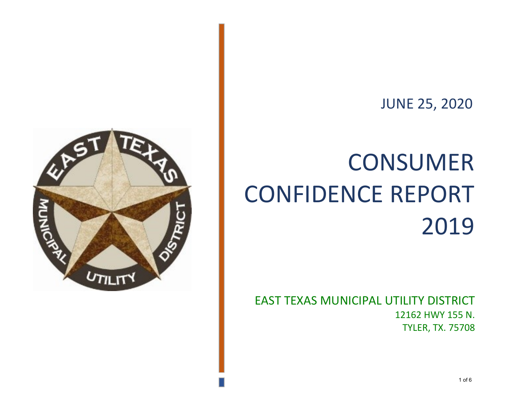

# CONSUMER CONFIDENCE REPORT 2019

EAST TEXAS MUNICIPAL UTILITY DISTRICT 12162 HWY 155 N. TYLER, TX. 75708

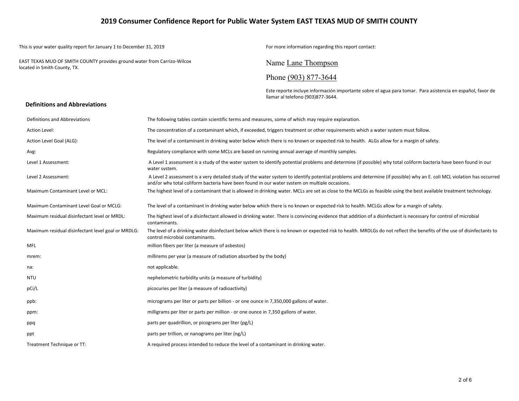## **2019 Consumer Confidence Report for Public Water System EAST TEXAS MUD OF SMITH COUNTY**

This is your water quality report for January 1 to December 31, 2019 For more information regarding this report contact:

EAST TEXAS MUD OF SMITH COUNTY provides ground water from Carrizo-Wilcox located in Smith County, TX. Name Lane Thompson

# Phone (903) 877-3644

Este reporte incluye información importante sobre el agua para tomar. Para asistencia en español, favor de llamar al telefono (903)877-3644.

#### **Definitions and Abbreviations**

| Definitions and Abbreviations                      | The following tables contain scientific terms and measures, some of which may require explanation.                                                                                                                                                                      |
|----------------------------------------------------|-------------------------------------------------------------------------------------------------------------------------------------------------------------------------------------------------------------------------------------------------------------------------|
| Action Level:                                      | The concentration of a contaminant which, if exceeded, triggers treatment or other requirements which a water system must follow.                                                                                                                                       |
| Action Level Goal (ALG):                           | The level of a contaminant in drinking water below which there is no known or expected risk to health. ALGs allow for a margin of safety.                                                                                                                               |
| Avg:                                               | Regulatory compliance with some MCLs are based on running annual average of monthly samples.                                                                                                                                                                            |
| Level 1 Assessment:                                | A Level 1 assessment is a study of the water system to identify potential problems and determine (if possible) why total coliform bacteria have been found in our<br>water system.                                                                                      |
| Level 2 Assessment:                                | A Level 2 assessment is a very detailed study of the water system to identify potential problems and determine (if possible) why an E. coli MCL violation has occurred<br>and/or why total coliform bacteria have been found in our water system on multiple occasions. |
| Maximum Contaminant Level or MCL:                  | The highest level of a contaminant that is allowed in drinking water. MCLs are set as close to the MCLGs as feasible using the best available treatment technology.                                                                                                     |
| Maximum Contaminant Level Goal or MCLG:            | The level of a contaminant in drinking water below which there is no known or expected risk to health. MCLGs allow for a margin of safety.                                                                                                                              |
| Maximum residual disinfectant level or MRDL:       | The highest level of a disinfectant allowed in drinking water. There is convincing evidence that addition of a disinfectant is necessary for control of microbial<br>contaminants.                                                                                      |
| Maximum residual disinfectant level goal or MRDLG: | The level of a drinking water disinfectant below which there is no known or expected risk to health. MRDLGs do not reflect the benefits of the use of disinfectants to<br>control microbial contaminants.                                                               |
| <b>MFL</b>                                         | million fibers per liter (a measure of asbestos)                                                                                                                                                                                                                        |
| mrem:                                              | millirems per year (a measure of radiation absorbed by the body)                                                                                                                                                                                                        |
| na:                                                | not applicable.                                                                                                                                                                                                                                                         |
| <b>NTU</b>                                         | nephelometric turbidity units (a measure of turbidity)                                                                                                                                                                                                                  |
| pCi/L                                              | picocuries per liter (a measure of radioactivity)                                                                                                                                                                                                                       |
| ppb:                                               | micrograms per liter or parts per billion - or one ounce in 7,350,000 gallons of water.                                                                                                                                                                                 |
| ppm:                                               | milligrams per liter or parts per million - or one ounce in 7,350 gallons of water.                                                                                                                                                                                     |
| ppq                                                | parts per quadrillion, or picograms per liter (pg/L)                                                                                                                                                                                                                    |
| ppt                                                | parts per trillion, or nanograms per liter (ng/L)                                                                                                                                                                                                                       |
| Treatment Technique or TT:                         | A required process intended to reduce the level of a contaminant in drinking water.                                                                                                                                                                                     |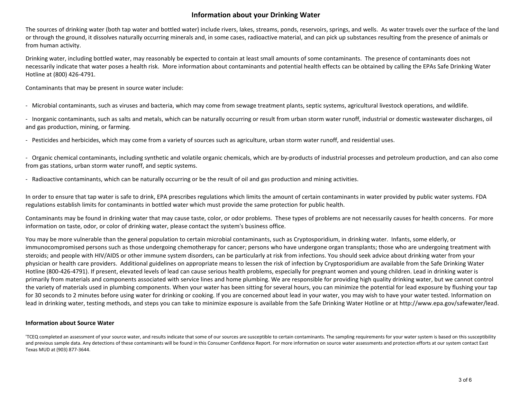# **Information about your Drinking Water**

The sources of drinking water (both tap water and bottled water) include rivers, lakes, streams, ponds, reservoirs, springs, and wells. As water travels over the surface of the land or through the ground, it dissolves naturally occurring minerals and, in some cases, radioactive material, and can pick up substances resulting from the presence of animals or from human activity.

Drinking water, including bottled water, may reasonably be expected to contain at least small amounts of some contaminants. The presence of contaminants does not necessarily indicate that water poses a health risk. More information about contaminants and potential health effects can be obtained by calling the EPAs Safe Drinking Water Hotline at (800) 426-4791.

Contaminants that may be present in source water include:

- Microbial contaminants, such as viruses and bacteria, which may come from sewage treatment plants, septic systems, agricultural livestock operations, and wildlife.

- Inorganic contaminants, such as salts and metals, which can be naturally occurring or result from urban storm water runoff, industrial or domestic wastewater discharges, oil and gas production, mining, or farming.

- Pesticides and herbicides, which may come from a variety of sources such as agriculture, urban storm water runoff, and residential uses.

- Organic chemical contaminants, including synthetic and volatile organic chemicals, which are by-products of industrial processes and petroleum production, and can also come from gas stations, urban storm water runoff, and septic systems.

- Radioactive contaminants, which can be naturally occurring or be the result of oil and gas production and mining activities.

In order to ensure that tap water is safe to drink, EPA prescribes regulations which limits the amount of certain contaminants in water provided by public water systems. FDA regulations establish limits for contaminants in bottled water which must provide the same protection for public health.

Contaminants may be found in drinking water that may cause taste, color, or odor problems. These types of problems are not necessarily causes for health concerns. For more information on taste, odor, or color of drinking water, please contact the system's business office.

You may be more vulnerable than the general population to certain microbial contaminants, such as Cryptosporidium, in drinking water. Infants, some elderly, or immunocompromised persons such as those undergoing chemotherapy for cancer; persons who have undergone organ transplants; those who are undergoing treatment with steroids; and people with HIV/AIDS or other immune system disorders, can be particularly at risk from infections. You should seek advice about drinking water from your physician or health care providers. Additional guidelines on appropriate means to lessen the risk of infection by Cryptosporidium are available from the Safe Drinking Water Hotline (800-426-4791). If present, elevated levels of lead can cause serious health problems, especially for pregnant women and young children. Lead in drinking water is primarily from materials and components associated with service lines and home plumbing. We are responsible for providing high quality drinking water, but we cannot control the variety of materials used in plumbing components. When your water has been sitting for several hours, you can minimize the potential for lead exposure by flushing your tap for 30 seconds to 2 minutes before using water for drinking or cooking. If you are concerned about lead in your water, you may wish to have your water tested. Information on lead in drinking water, testing methods, and steps you can take to minimize exposure is available from the Safe Drinking Water Hotline or at http://www.epa.gov/safewater/lead.

#### **Information about Source Water**

'TCEQ completed an assessment of your source water, and results indicate that some of our sources are susceptible to certain contaminants. The sampling requirements for your water system is based on this susceptibility and previous sample data. Any detections of these contaminants will be found in this Consumer Confidence Report. For more information on source water assessments and protection efforts at our system contact East Texas MUD at (903) 877-3644.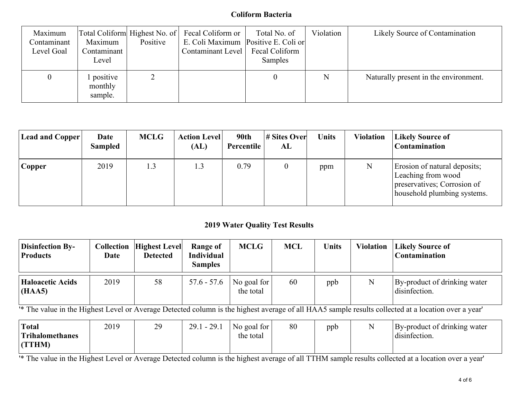# **Coliform Bacteria**

| Maximum<br>Contaminant<br>Level Goal | Maximum<br>Contaminant<br>Level | Positive | Total Coliform  Highest No. of   Fecal Coliform or<br>E. Coli Maximum Positive E. Coli or<br>Contaminant Level | Total No. of<br>Fecal Coliform<br>Samples | Violation | Likely Source of Contamination        |
|--------------------------------------|---------------------------------|----------|----------------------------------------------------------------------------------------------------------------|-------------------------------------------|-----------|---------------------------------------|
| $\theta$                             | positive<br>monthly<br>sample.  | 2        |                                                                                                                |                                           |           | Naturally present in the environment. |

| <b>Lead and Copper</b> | Date<br><b>Sampled</b> | <b>MCLG</b> | <b>Action Level</b><br>(AL) | 90th<br>Percentile | # Sites Over<br>AL | Units | <b>Violation</b> | <b>Likely Source of</b><br>Contamination                                                                         |
|------------------------|------------------------|-------------|-----------------------------|--------------------|--------------------|-------|------------------|------------------------------------------------------------------------------------------------------------------|
| Copper                 | 2019                   | 1.3         | 1.3                         | 0.79               |                    | ppm   | N                | Erosion of natural deposits;<br>Leaching from wood<br>preservatives; Corrosion of<br>household plumbing systems. |

# **2019 Water Quality Test Results**

| <b>Disinfection By-</b><br><b>Products</b> | Date | <b>Collection  Highest Level </b><br><b>Detected</b> | Range of<br><b>Individual</b><br><b>Samples</b> | <b>MCLG</b>              | <b>MCL</b> | Units | <b>Violation</b> | <b>Likely Source of</b><br><b>Contamination</b> |
|--------------------------------------------|------|------------------------------------------------------|-------------------------------------------------|--------------------------|------------|-------|------------------|-------------------------------------------------|
| <b>Haloacetic Acids</b><br>(HAA5)          | 2019 | 58                                                   | $57.6 - 57.6$                                   | No goal for<br>the total | 60         | ppb   | N                | By-product of drinking water<br>disinfection.   |

<sup>1</sup> The value in the Highest Level or Average Detected column is the highest average of all HAA5 sample results collected at a location over a year'

| <b>Total</b>           | 2019 | 29 | $29.1 - 29.1$ | No goal for | 80 | ppb | By-product of drinking water |
|------------------------|------|----|---------------|-------------|----|-----|------------------------------|
| <b>Trihalomethanes</b> |      |    |               | the total   |    |     | $\cdots$<br>disinfection.    |
| (TTHM)                 |      |    |               |             |    |     |                              |

<sup>1\*</sup> The value in the Highest Level or Average Detected column is the highest average of all TTHM sample results collected at a location over a year'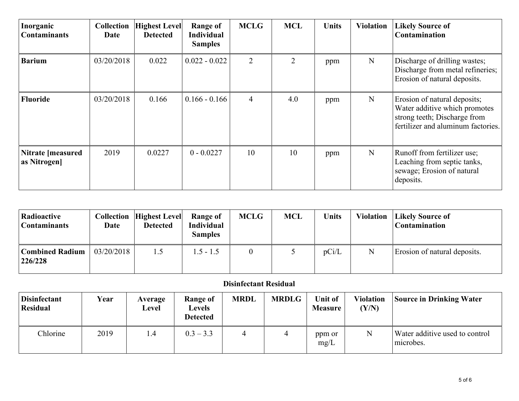| Inorganic<br><b>Contaminants</b> | <b>Collection</b><br>Date | <b>Highest Level</b><br><b>Detected</b> | <b>Range of</b><br><b>Individual</b><br><b>Samples</b> | <b>MCLG</b>    | <b>MCL</b> | <b>Units</b> | <b>Violation</b> | <b>Likely Source of</b><br>Contamination                                                                                            |
|----------------------------------|---------------------------|-----------------------------------------|--------------------------------------------------------|----------------|------------|--------------|------------------|-------------------------------------------------------------------------------------------------------------------------------------|
| <b>Barium</b>                    | 03/20/2018                | 0.022                                   | $0.022 - 0.022$                                        | 2              | 2          | ppm          | N                | Discharge of drilling wastes;<br>Discharge from metal refineries;<br>Erosion of natural deposits.                                   |
| <b>Fluoride</b>                  | 03/20/2018                | 0.166                                   | $0.166 - 0.166$                                        | $\overline{4}$ | 4.0        | ppm          | N                | Erosion of natural deposits;<br>Water additive which promotes<br>strong teeth; Discharge from<br>fertilizer and aluminum factories. |
| Nitrate [measured<br>as Nitrogen | 2019                      | 0.0227                                  | $0 - 0.0227$                                           | 10             | 10         | ppm          | N                | Runoff from fertilizer use;<br>Leaching from septic tanks,<br>sewage; Erosion of natural<br>deposits.                               |

| Radioactive<br><b>Contaminants</b> | Date       | <b>Collection  Highest Level </b><br><b>Detected</b> | Range of<br><b>Individual</b><br><b>Samples</b> | <b>MCLG</b> | <b>MCL</b> | Units | <b>Violation</b> | <b>Likely Source of</b><br><b>Contamination</b> |
|------------------------------------|------------|------------------------------------------------------|-------------------------------------------------|-------------|------------|-------|------------------|-------------------------------------------------|
| <b>Combined Radium</b><br>226/228  | 03/20/2018 | 1.5                                                  | $1.5 - 1.5$                                     |             |            | pCi/L | N                | Erosion of natural deposits.                    |

# **Disinfectant Residual**

| <b>Disinfectant</b><br><b>Residual</b> | Year | Average<br>Level | Range of<br>Levels<br><b>Detected</b> | <b>MRDL</b> | <b>MRDLG</b> | Unit of<br><b>Measure</b> | <b>Violation</b><br>(Y/N) | <b>Source in Drinking Water</b>             |
|----------------------------------------|------|------------------|---------------------------------------|-------------|--------------|---------------------------|---------------------------|---------------------------------------------|
| Chlorine                               | 2019 | 1.4              | $0.3 - 3.3$                           | 4           |              | ppm or<br>mg/L            | N                         | Water additive used to control<br>microbes. |